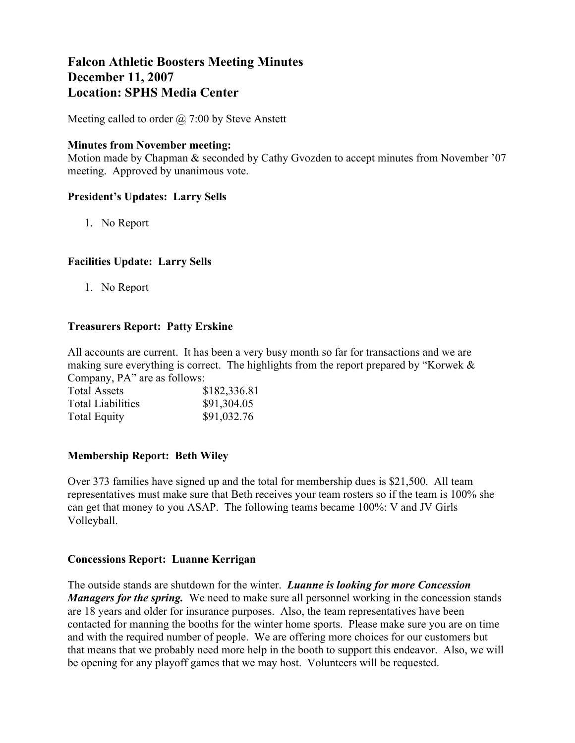# **Falcon Athletic Boosters Meeting Minutes December 11, 2007 Location: SPHS Media Center**

Meeting called to order  $\omega$  7:00 by Steve Anstett

#### **Minutes from November meeting:**

Motion made by Chapman & seconded by Cathy Gvozden to accept minutes from November '07 meeting. Approved by unanimous vote.

# **President's Updates: Larry Sells**

1. No Report

# **Facilities Update: Larry Sells**

1. No Report

# **Treasurers Report: Patty Erskine**

All accounts are current. It has been a very busy month so far for transactions and we are making sure everything is correct. The highlights from the report prepared by "Korwek & Company, PA" are as follows:

| <b>Total Assets</b>      | \$182,336.81 |  |  |
|--------------------------|--------------|--|--|
| <b>Total Liabilities</b> | \$91,304.05  |  |  |
| <b>Total Equity</b>      | \$91,032.76  |  |  |

# **Membership Report: Beth Wiley**

Over 373 families have signed up and the total for membership dues is \$21,500. All team representatives must make sure that Beth receives your team rosters so if the team is 100% she can get that money to you ASAP. The following teams became 100%: V and JV Girls Volleyball.

# **Concessions Report: Luanne Kerrigan**

The outside stands are shutdown for the winter. *Luanne is looking for more Concession Managers for the spring.* We need to make sure all personnel working in the concession stands are 18 years and older for insurance purposes. Also, the team representatives have been contacted for manning the booths for the winter home sports. Please make sure you are on time and with the required number of people. We are offering more choices for our customers but that means that we probably need more help in the booth to support this endeavor. Also, we will be opening for any playoff games that we may host. Volunteers will be requested.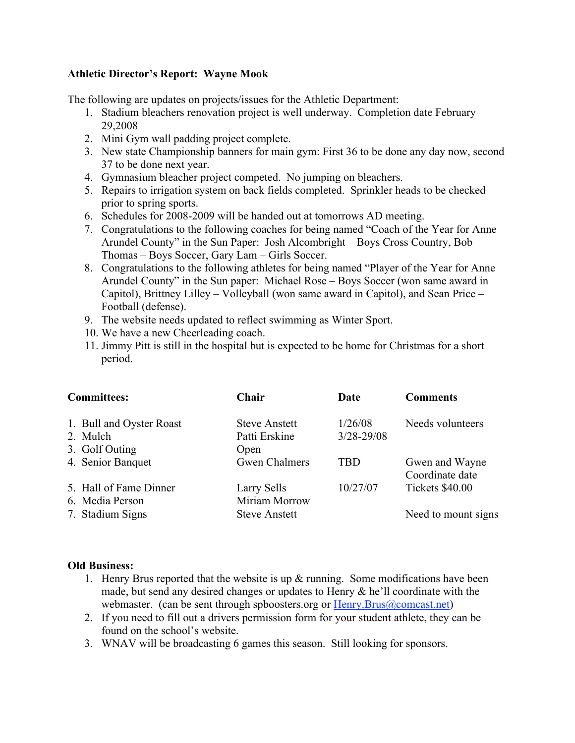#### **Athletic Director's Report: Wayne Mook**

The following are updates on projects/issues for the Athletic Department:

- 1. Stadium bleachers renovation project is well underway. Completion date February 29,2008
- 2. Mini Gym wall padding project complete.
- 3. New state Championship banners for main gym: First 36 to be done any day now, second 37 to be done next year.
- 4. Gymnasium bleacher project competed. No jumping on bleachers.
- 5. Repairs to irrigation system on back fields completed. Sprinkler heads to be checked prior to spring sports.
- 6. Schedules for 2008-2009 will be handed out at tomorrows AD meeting.
- 7. Congratulations to the following coaches for being named "Coach of the Year for Anne Arundel County" in the Sun Paper: Josh Alcombright – Boys Cross Country, Bob Thomas – Boys Soccer, Gary Lam – Girls Soccer.
- 8. Congratulations to the following athletes for being named "Player of the Year for Anne Arundel County" in the Sun paper: Michael Rose – Boys Soccer (won same award in Capitol), Brittney Lilley – Volleyball (won same award in Capitol), and Sean Price – Football (defense).
- 9. The website needs updated to reflect swimming as Winter Sport.
- 10. We have a new Cheerleading coach.
- 11. Jimmy Pitt is still in the hospital but is expected to be home for Christmas for a short period.

| <b>Committees:</b>                                     | Chair                                         | Date                      | <b>Comments</b>                   |
|--------------------------------------------------------|-----------------------------------------------|---------------------------|-----------------------------------|
| 1. Bull and Oyster Roast<br>2. Mulch<br>3. Golf Outing | <b>Steve Anstett</b><br>Patti Erskine<br>Open | 1/26/08<br>$3/28 - 29/08$ | Needs volunteers                  |
| 4. Senior Banquet                                      | <b>Gwen Chalmers</b>                          | <b>TBD</b>                | Gwen and Wayne<br>Coordinate date |
| 5. Hall of Fame Dinner<br>6. Media Person              | Larry Sells<br>Miriam Morrow                  | 10/27/07                  | Tickets \$40.00                   |
| 7. Stadium Signs                                       | <b>Steve Anstett</b>                          |                           | Need to mount signs               |

#### **Old Business:**

- 1. Henry Brus reported that the website is up & running. Some modifications have been made, but send any desired changes or updates to Henry  $\&$  he'll coordinate with the webmaster. (can be sent through spboosters.org or Henry.Brus@comcast.net)
- 2. If you need to fill out a drivers permission form for your student athlete, they can be found on the school's website.
- 3. WNAV will be broadcasting 6 games this season. Still looking for sponsors.